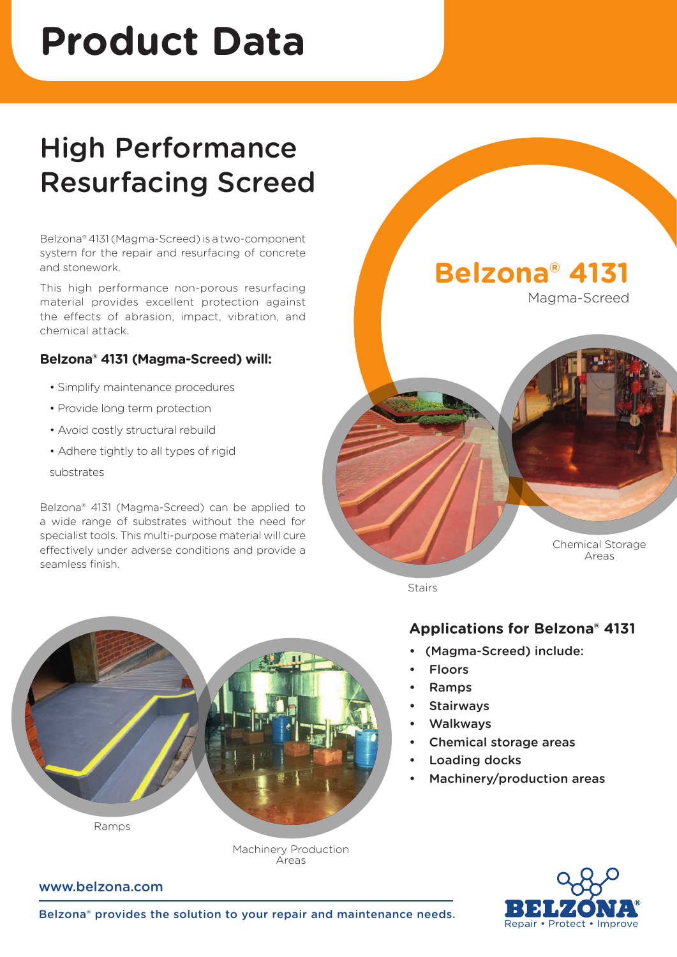# **Product Data**

## High Performance Resurfacing Screed

Belzona® 4131 (Magma-Screed) is a two-component system for the repair and resurfacing of concrete and stonework.

This high performance non-porous resurfacing material provides excellent protection against the effects of abrasion, impact, vibration, and chemical attack.

#### **Belzona® 4131 (Magma-Screed) will:**

- Simplify maintenance procedures
- Provide long term protection
- Avoid costly structural rebuild
- Adhere tightly to all types of rigid

substrates

Belzona® 4131 (Magma-Screed) can be applied to a wide range of substrates without the need for specialist tools. This multi-purpose material will cure effectively under adverse conditions and provide a seamless finish.



Magma-Screed



**Stairs** 

#### **Applications for Belzona® 4131**

- (Magma-Screed) include:
- **Floors**
- Ramps
- **Stairways**
- **Walkways**
- Chemical storage areas
- Loading docks
- Machinery/production areas



Ramps

Machinery Production Areas

www.belzona.com

Belzona® provides the solution to your repair and maintenance needs.